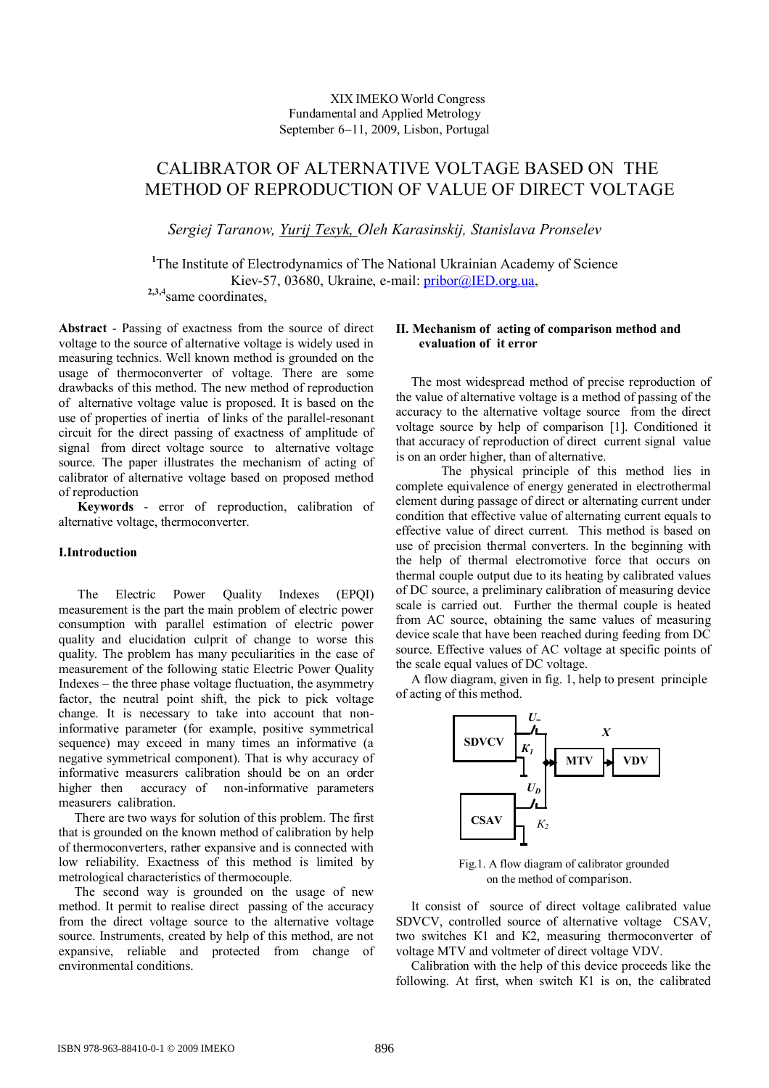# XIX IMEKO World Congress Fundamental and Applied Metrology September 6–11, 2009, Lisbon, Portugal

# CALIBRATOR OF ALTERNATIVE VOLTAGE BASED ON THE METHOD OF REPRODUCTION OF VALUE OF DIRECT VOLTAGE

*Sergiej Taranow, Yurij Tesyk, Oleh Karasinskij, Stanislava Pronselev*

<sup>1</sup>The Institute of Electrodynamics of The National Ukrainian Academy of Science Kiev-57, 03680, Ukraine, e-mail: pribor@IED.org.ua,  **2,3,**4 same coordinates,

**Abstract** - Passing of exactness from the source of direct voltage to the source of alternative voltage is widely used in measuring technics. Well known method is grounded on the usage of thermoconverter of voltage. There are some drawbacks of this method. The new method of reproduction of alternative voltage value is proposed. It is based on the use of properties of inertia of links of the parallel-resonant circuit for the direct passing of exactness of amplitude of signal from direct voltage source to alternative voltage source. The paper illustrates the mechanism of acting of calibrator of alternative voltage based on proposed method of reproduction

 **Keywords** - error of reproduction, calibration of alternative voltage, thermoconverter.

## **I.Introduction**

 The Electric Power Quality Indexes (EPQI) measurement is the part the main problem of electric power consumption with parallel estimation of electric power quality and elucidation culprit of change to worse this quality. The problem has many peculiarities in the case of measurement of the following static Electric Power Quality Indexes – the three phase voltage fluctuation, the asymmetry factor, the neutral point shift, the pick to pick voltage change. It is necessary to take into account that noninformative parameter (for example, positive symmetrical sequence) may exceed in many times an informative (a negative symmetrical component). That is why accuracy of informative measurers calibration should be on an order higher then accuracy of non-informative parameters measurers calibration.

 There are two ways for solution of this problem. The first that is grounded on the known method of calibration by help of thermoconverters, rather expansive and is connected with low reliability. Exactness of this method is limited by metrological characteristics of thermocouple.

 The second way is grounded on the usage of new method. It permit to realise direct passing of the accuracy from the direct voltage source to the alternative voltage source. Instruments, created by help of this method, are not expansive, reliable and protected from change of environmental conditions.

## **II. Mechanism of acting of comparison method and evaluation of it error**

The most widespread method of preсisе reproduction of the value of alternative voltage is a method of passing of the accuracy to the alternative voltage source from the direct voltage source by help of comparison [1]. Conditioned it that accuracy of reproduction of direct current signal value is on an order higher, than of alternative.

The physical principle of this method lies in complete equivalence of energy generated in electrothermal element during passage of direct or alternating current under condition that effective value of alternating current equals to effective value of direct current. This method is based on use of precision thermal converters. In the beginning with the help of thermal electromotive force that occurs on thermal couple output due to its heating by calibrated values of DC source, a preliminary calibration of measuring device scale is carried out. Further the thermal couple is heated from AC source, obtaining the same values of measuring device scale that have been reached during feeding from DC source. Effective values of AC voltage at specific points of the scale equal values of DC voltage.

A flow diagram, given in fig. 1, help to present principle of acting of this method.



 Fig.1. A flow diagram of calibrator grounded on the method of comparison.

It consist of source of direct voltage calibrated value SDVCV, controlled source of alternative voltage CSAV, two switches К1 and К2, measuring thermoconverter of voltage MTV and voltmeter of direct voltage VDV.

Calibration with the help of this device proceeds like the following. At first, when switch К1 is on, the calibrated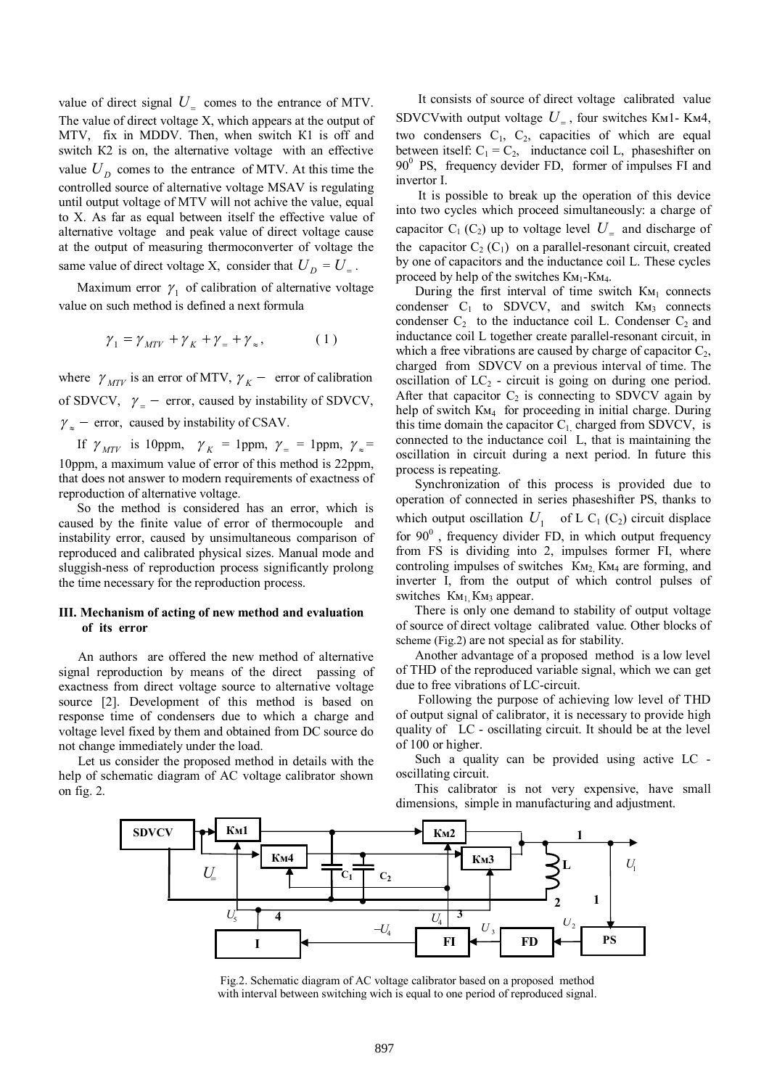value of direct signal  $U_{\text{=} \text{ comes to the entrance of MTV}}$ . The value of direct voltage Х, which appears at the output of MTV, fix in MDDV. Then, when switch К1 is off and switch К2 is on, the alternative voltage with an effective value  $U_D$  comes to the entrance of MTV. At this time the controlled source of alternative voltage MSAV is regulating until output voltage of MTV will not achive the value, equal to Х. As far as equal between itself the effective value of alternative voltage and peak value of direct voltage cause at the output of measuring thermoconverter of voltage the same value of direct voltage X, consider that  $U_D = U_$ .

Maximum error  $\gamma_1$  of calibration of alternative voltage value on such method is defined a next formula

$$
\gamma_1 = \gamma_{MTV} + \gamma_K + \gamma_{=} + \gamma_{\approx}, \qquad (1)
$$

where  $\gamma_{MTV}$  is an error of MTV,  $\gamma_{K}$  – error of calibration of SDVCV,  $\gamma$  – error, caused by instability of SDVCV,  $\gamma_{\approx}$  – error, caused by instability of CSAV.

If  $\gamma_{MTV}$  is 10ppm,  $\gamma_K = 1$ ppm,  $\gamma_0 = 1$ ppm,  $\gamma_{\approx} = 1$ 10ppm, a maximum value of error of this method is 22ppm, that does not answer to modern requirements of exactness of reproduction of alternative voltage.

So the method is considered has an error, which is caused by the finite value of error of thermocouple and instability error, caused by unsimultaneous comparison of reproduced and calibrated physical sizes. Manual mode and sluggish-ness of reproduction process significantly prolong the time necessary for the reproduction process.

## **III. Mechanism of acting of new method and evaluation of its error**

 An authors are offered the new method of alternative signal reproduction by means of the direct passing of exactness from direct voltage source to alternative voltage source [2]. Development of this method is based on response time of condensers due to which a charge and voltage level fixed by them and obtained from DC source do not change immediately under the load.

 Let us consider the proposed method in details with the help of schematic diagram of AC voltage calibrator shown on fig. 2.

 It consists of source of direct voltage calibrated value SDVCVwith output voltage  $U_z$ , four switches KM1- KM4, two condensers  $C_1$ ,  $C_2$ , capacities of which are equal between itself:  $C_1 = C_2$ , inductance coil L, phaseshifter on  $90^0$  PS, frequency devider FD, former of impulses FI and invertor I.

 It is possible to break up the operation of this device into two cycles which proceed simultaneously: a charge of capacitor  $C_1$  ( $C_2$ ) up to voltage level  $U_{\text{I}}$  and discharge of the capacitor  $C_2$  ( $C_1$ ) on a parallel-resonant circuit, created by one of capacitors and the inductance coil L. These cycles proceed by help of the switches  $K_{M_1-K_{M_4}}$ .

During the first interval of time switch  $K_{M_1}$  connects condenser  $C_1$  to SDVCV, and switch  $K_{M_3}$  connects condenser  $C_2$  to the inductance coil L. Condenser  $C_2$  and inductance coil L together create parallel-resonant circuit, in which a free vibrations are caused by charge of capacitor  $C_2$ , charged from SDVCV on a previous interval of time. The oscillation of  $LC_2$  - circuit is going on during one period. After that capacitor  $C_2$  is connecting to SDVCV again by help of switch K<sub>M4</sub> for proceeding in initial charge. During this time domain the capacitor  $C_1$ , charged from SDVCV, is connected to the inductance coil L, that is maintaining the oscillation in circuit during a next period. In future this process is repeating.

 Synchronization of this process is provided due to operation of connected in series phaseshifter PS, thanks to which output oscillation  $U_1$  of L C<sub>1</sub> (C<sub>2</sub>) circuit displace for  $90^\circ$ , frequency divider FD, in which output frequency from FS is dividing into 2, impulses former FI, where controling impulses of switches  $K_{M_2}$  K<sub>M4</sub> are forming, and inverter I, from the output of which control pulses of switches  $K_{M_1}$ ,  $K_{M_3}$  appear.

 There is only one demand to stability of output voltage of source of direct voltage calibrated value. Other blocks of scheme (Fig.2) are not special as for stability.

 Another advantage of a proposed method is a low level of THD of the reproduced variable signal, which we can get due to free vibrations of LC-circuit.

 Following the purpose of achieving low level of THD of output signal of calibrator, it is necessary to provide high quality of LC - oscillating circuit. It should be at the level of 100 or higher.

 Such a quality can be provided using active LC oscillating circuit.

 This calibrator is not very expensive, have small dimensions, simple in manufacturing and adjustment.



Fig.2. Schematic diagram of AC voltage calibrator based on a proposed method with interval between switching wich is equal to one period of reproduced signal.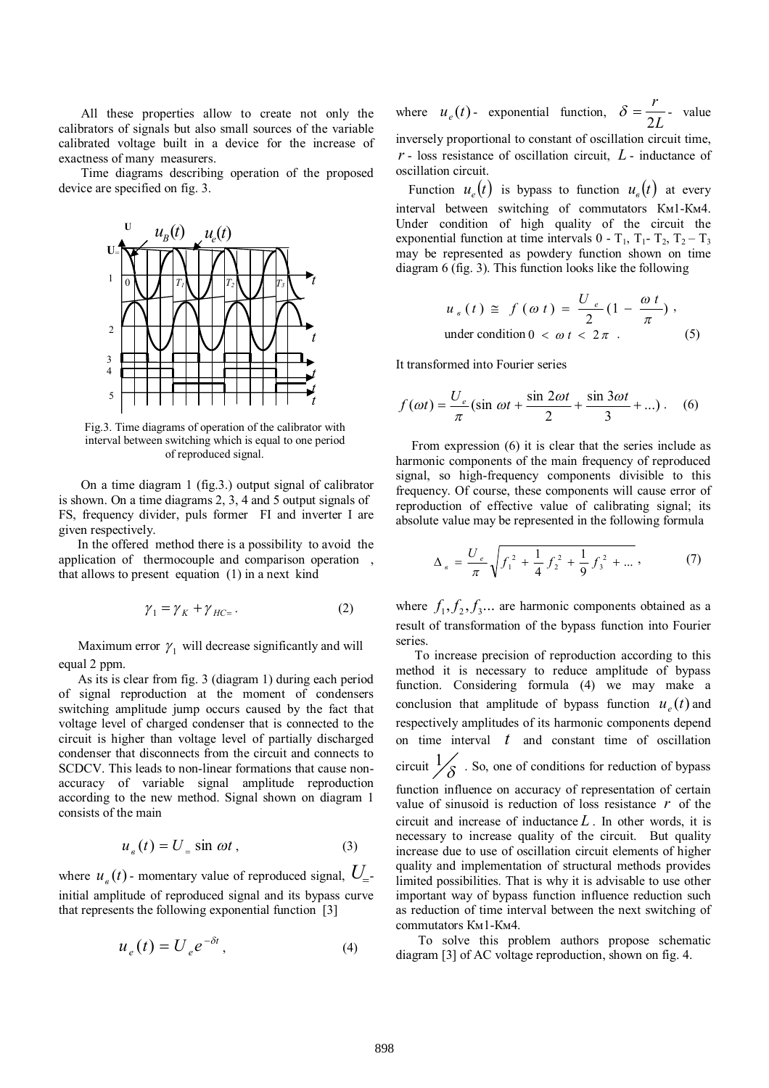All these properties allow to create not only the calibrators of signals but also small sources of the variable calibrated voltage built in a device for the increase of exactness of many measurers.

 Time diagrams describing operation of the proposed device are specified on fig. 3.



Fig.3. Time diagrams of operation of the calibrator with interval between switching which is equal to one period of reproduced signal.

 On a time diagram 1 (fig.3.) output signal of calibrator is shown. On a time diagrams 2, 3, 4 and 5 output signals of FS, frequency divider, puls former FI and inverter I are given respectively.

 In the offered method there is a possibility to avoid the application of thermocouple and comparison operation , that allows to present equation (1) in a next kind

$$
\gamma_1 = \gamma_K + \gamma_{HC} \tag{2}
$$

Maximum error  $\gamma_1$  will decrease significantly and will equal 2 ppm.

 As its is clear from fig. 3 (diagram 1) during each period of signal reproduction at the moment of condensers switching amplitude jump occurs caused by the fact that voltage level of charged condenser that is connected to the circuit is higher than voltage level of partially discharged condenser that disconnects from the circuit and connects to SCDCV. This leads to non-linear formations that cause nonaccuracy of variable signal amplitude reproduction according to the new method. Signal shown on diagram 1 consists of the main

$$
u_{\epsilon}(t) = U_{\epsilon} \sin \omega t , \qquad (3)
$$

where  $u_{\epsilon}(t)$  - momentary value of reproduced signal,  $U_{\epsilon}$ initial amplitude of reproduced signal and its bypass curve that represents the following exponential function [3]

$$
u_e(t) = U_e e^{-\delta t}, \qquad (4)
$$

where  $u_e(t)$ - exponential function,  $\delta = \frac{1}{2L}$ *r* 2  $\delta = \frac{7}{25}$ - value inversely proportional to constant of oscillation circuit time, *r* - loss resistance of oscillation circuit, *L* - inductance of oscillation circuit.

Function  $u_e(t)$  is bypass to function  $u_e(t)$  at every interval between switching of commutators Км1-Км4. Under condition of high quality of the circuit the exponential function at time intervals  $0 - T_1$ ,  $T_1 - T_2$ ,  $T_2 - T_3$ may be represented as powdery function shown on time diagram 6 (fig. 3). This function looks like the following

$$
u_{e}(t) \cong f(\omega t) = \frac{U_{e}}{2}(1 - \frac{\omega t}{\pi}),
$$
  
under condition  $0 < \omega t < 2\pi$ . (5)

It transformed into Fourier series

$$
f(\omega t) = \frac{U_e}{\pi} \left( \sin \omega t + \frac{\sin 2\omega t}{2} + \frac{\sin 3\omega t}{3} + \dots \right). \tag{6}
$$

 From expression (6) it is clear that the series include as harmonic components of the main frequency of reproduced signal, so high-frequency components divisible to this frequency. Of course, these components will cause error of reproduction of effective value of calibrating signal; its absolute value may be represented in the following formula

$$
\Delta_{e} = \frac{U_{e}}{\pi} \sqrt{f_{1}^{2} + \frac{1}{4} f_{2}^{2} + \frac{1}{9} f_{3}^{2} + \dots},
$$
 (7)

where  $f_1, f_2, f_3...$  are harmonic components obtained as a result of transformation of the bypass function into Fourier series.

 To increase precision of reproduction according to this method it is necessary to reduce amplitude of bypass function. Considering formula (4) we may make a conclusion that amplitude of bypass function  $u_e(t)$  and respectively amplitudes of its harmonic components depend on time interval *t* and constant time of oscillation circuit  $\frac{1}{\delta}$ . So, one of conditions for reduction of bypass function influence on accuracy of representation of certain value of sinusoid is reduction of loss resistance *r* of the circuit and increase of inductance *L* . In other words, it is necessary to increase quality of the circuit. But quality increase due to use of oscillation circuit elements of higher quality and implementation of structural methods provides limited possibilities. That is why it is advisable to use other important way of bypass function influence reduction such as reduction of time interval between the next switching of commutators Км1-Км4.

 To solve this problem authors propose schematic diagram [3] of AC voltage reproduction, shown on fig. 4.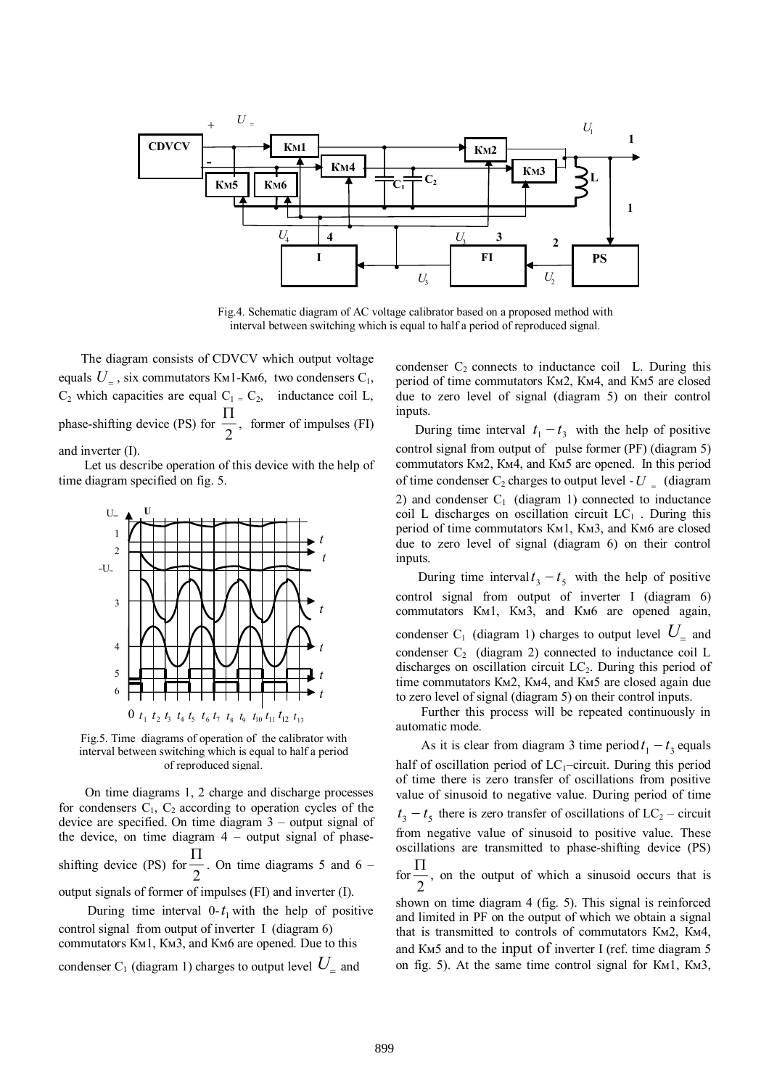

Fig.4. Schematic diagram of AC voltage calibrator based on a proposed method with interval between switching which is equal to half a period of reproduced signal.

 The diagram consists of CDVCV which output voltage equals  $U_z$ , six commutators KM1-KM6, two condensers  $C_1$ ,  $C_2$  which capacities are equal  $C_1 = C_2$ , inductance coil L, phase-shifting device (PS) for  $\frac{1}{2}$  $\frac{\Pi}{\sigma}$ , former of impulses (FI) and inverter (I).

 Let us describe operation of this device with the help of time diagram specified on fig. 5.



Fig.5. Time diagrams of operation of the calibrator with interval between switching which is equal to half a period of reproduced signal.

On time diagrams 1, 2 charge and discharge processes for condensers  $C_1$ ,  $C_2$  according to operation cycles of the device are specified. On time diagram 3 – output signal of the device, on time diagram  $4$  – output signal of phaseshifting device (PS) for  $\frac{1}{2}$  $\frac{\Pi}{\Lambda}$ . On time diagrams 5 and 6 – output signals of former of impulses (FI) and inverter (I).

During time interval  $0-t_1$  with the help of positive control signal from output of inverter I (diagram 6) commutators Км1, Км3, and Км6 are opened. Due to this condenser C<sub>1</sub> (diagram 1) charges to output level  $U_{\scriptscriptstyle \equiv}$  and

condenser  $C_2$  connects to inductance coil L. During this period of time commutators Км2, Км4, and Км5 are closed due to zero level of signal (diagram 5) on their control inputs.

During time interval  $t_1 - t_3$  with the help of positive control signal from output of pulse former (PF) (diagram 5) commutators Км2, Км4, and Км5 are opened. In this period of time condenser  $C_2$  charges to output level -  $U = (diagram)$ 2) and condenser  $C_1$  (diagram 1) connected to inductance coil L discharges on oscillation circuit  $LC_1$ . During this period of time commutators Км1, Км3, and Км6 are closed due to zero level of signal (diagram 6) on their control inputs.

During time interval  $t_3 - t_5$  with the help of positive control signal from output of inverter I (diagram 6) commutators Км1, Км3, and Км6 are opened again, condenser  $C_1$  (diagram 1) charges to output level  $U_$  and condenser  $C_2$  (diagram 2) connected to inductance coil L discharges on oscillation circuit LC2. During this period of time commutators Км2, Км4, and Км5 are closed again due to zero level of signal (diagram 5) on their control inputs.

 Further this process will be repeated continuously in automatic mode.

As it is clear from diagram 3 time period  $t_1 - t_3$  equals half of oscillation period of  $LC<sub>1</sub>$ -circuit. During this period of time there is zero transfer of oscillations from positive value of sinusoid to negative value. During period of time  $t_3 - t_5$  there is zero transfer of oscillations of  $LC_2$  – circuit from negative value of sinusoid to positive value. These oscillations are transmitted to phase-shifting device (PS)

for  $\frac{1}{2}$  $\frac{\Pi}{\sigma}$ , on the output of which a sinusoid occurs that is

shown on time diagram 4 (fig. 5). This signal is reinforced and limited in PF on the output of which we obtain a signal that is transmitted to controls of commutators Км2, Км4, and Км5 and to the input of inverter І (ref. time diagram 5 on fig. 5). At the same time control signal for Км1, Км3,